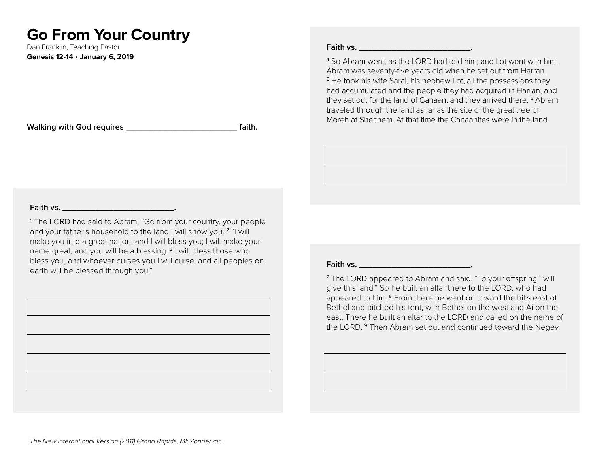# **Go From Your Country**

Dan Franklin, Teaching Pastor **Genesis 12-14 • January 6, 2019**

**Walking with God requires \_\_\_\_\_\_\_\_\_\_\_\_\_\_\_\_\_\_\_\_\_\_\_\_ faith.**

#### **Faith vs. \_\_\_\_\_\_\_\_\_\_\_\_\_\_\_\_\_\_\_\_\_\_\_\_.**

4 So Abram went, as the LORD had told him; and Lot went with him. Abram was seventy-five years old when he set out from Harran. <sup>5</sup> He took his wife Sarai, his nephew Lot, all the possessions they had accumulated and the people they had acquired in Harran, and they set out for the land of Canaan, and they arrived there. <sup>6</sup> Abram traveled through the land as far as the site of the great tree of Moreh at Shechem. At that time the Canaanites were in the land.

#### **Faith vs. \_\_\_\_\_\_\_\_\_\_\_\_\_\_\_\_\_\_\_\_\_\_\_\_.**

1 The LORD had said to Abram, "Go from your country, your people and your father's household to the land I will show you. <sup>2</sup> "I will make you into a great nation, and I will bless you; I will make your name great, and you will be a blessing. <sup>3</sup> I will bless those who bless you, and whoever curses you I will curse; and all peoples on earth will be blessed through you."

#### **Faith vs. \_\_\_\_\_\_\_\_\_\_\_\_\_\_\_\_\_\_\_\_\_\_\_\_.**

<sup>7</sup> The LORD appeared to Abram and said, "To your offspring I will give this land." So he built an altar there to the LORD, who had appeared to him. <sup>8</sup> From there he went on toward the hills east of Bethel and pitched his tent, with Bethel on the west and Ai on the east. There he built an altar to the LORD and called on the name of the LORD.<sup>9</sup> Then Abram set out and continued toward the Negev.